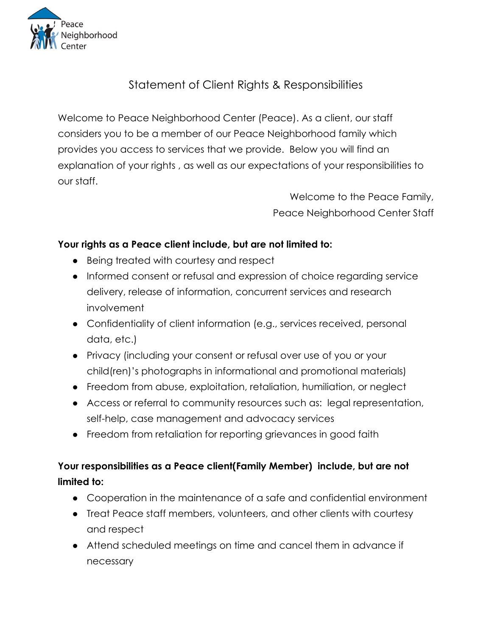

# Statement of Client Rights & Responsibilities

Welcome to Peace Neighborhood Center (Peace). As a client, our staff considers you to be a member of our Peace Neighborhood family which provides you access to services that we provide. Below you will find an explanation of your rights , as well as our expectations of your responsibilities to our staff.

> Welcome to the Peace Family, Peace Neighborhood Center Staff

## **Your rights as a Peace client include, but are not limited to:**

- Being treated with courtesy and respect
- Informed consent or refusal and expression of choice regarding service delivery, release of information, concurrent services and research involvement
- Confidentiality of client information (e.g., services received, personal data, etc.)
- Privacy (including your consent or refusal over use of you or your child(ren)'s photographs in informational and promotional materials)
- Freedom from abuse, exploitation, retaliation, humiliation, or neglect
- Access or referral to community resources such as: legal representation, self-help, case management and advocacy services
- Freedom from retaliation for reporting grievances in good faith

# **Your responsibilities as a Peace client(Family Member) include, but are not limited to:**

- Cooperation in the maintenance of a safe and confidential environment
- Treat Peace staff members, volunteers, and other clients with courtesy and respect
- Attend scheduled meetings on time and cancel them in advance if necessary